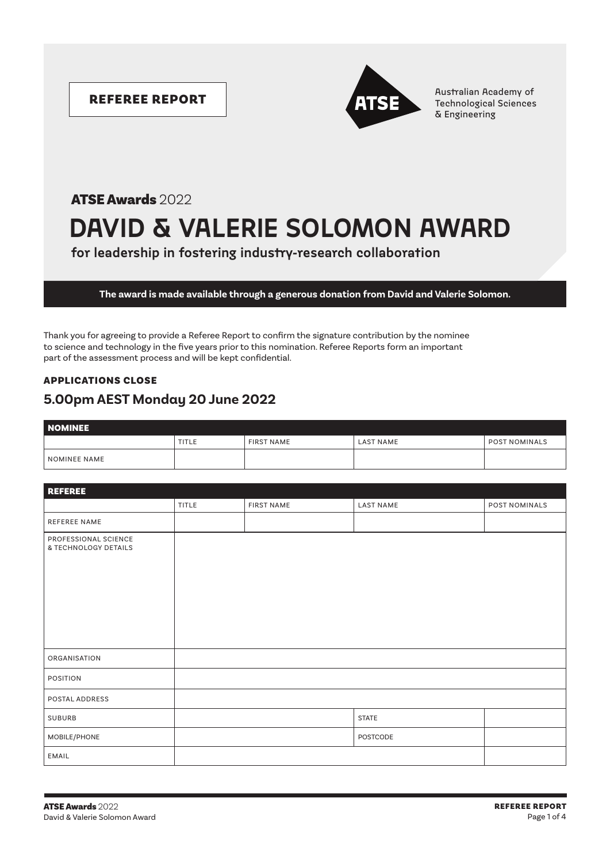

REFEREE REPORT **Australian Academy of** Australian Academy of Technological Sciences & Engineering

# **DAVID & VALERIE SOLOMON AWARD** ATSE Awards 2022

**for leadership in fostering industry-research collaboration**

**The award is made available through a generous donation from David and Valerie Solomon.**

Thank you for agreeing to provide a Referee Report to confirm the signature contribution by the nominee to science and technology in the five years prior to this nomination. Referee Reports form an important part of the assessment process and will be kept confidential.

### APPLICATIONS CLOSE **5.00pm AEST Monday 20 June 2022**

| <b>NOMINEE</b> |       |                   |           |                      |  |  |
|----------------|-------|-------------------|-----------|----------------------|--|--|
|                | TITLE | <b>FIRST NAME</b> | LAST NAME | <b>POST NOMINALS</b> |  |  |
| NOMINEE NAME   |       |                   |           |                      |  |  |

| <b>REFEREE</b>                               |              |                   |                  |               |  |  |  |
|----------------------------------------------|--------------|-------------------|------------------|---------------|--|--|--|
|                                              | <b>TITLE</b> | <b>FIRST NAME</b> | <b>LAST NAME</b> | POST NOMINALS |  |  |  |
| <b>REFEREE NAME</b>                          |              |                   |                  |               |  |  |  |
| PROFESSIONAL SCIENCE<br>& TECHNOLOGY DETAILS |              |                   |                  |               |  |  |  |
| ORGANISATION                                 |              |                   |                  |               |  |  |  |
| POSITION                                     |              |                   |                  |               |  |  |  |
| POSTAL ADDRESS                               |              |                   |                  |               |  |  |  |
| <b>SUBURB</b>                                |              |                   | <b>STATE</b>     |               |  |  |  |
| MOBILE/PHONE                                 |              |                   | POSTCODE         |               |  |  |  |
| EMAIL                                        |              |                   |                  |               |  |  |  |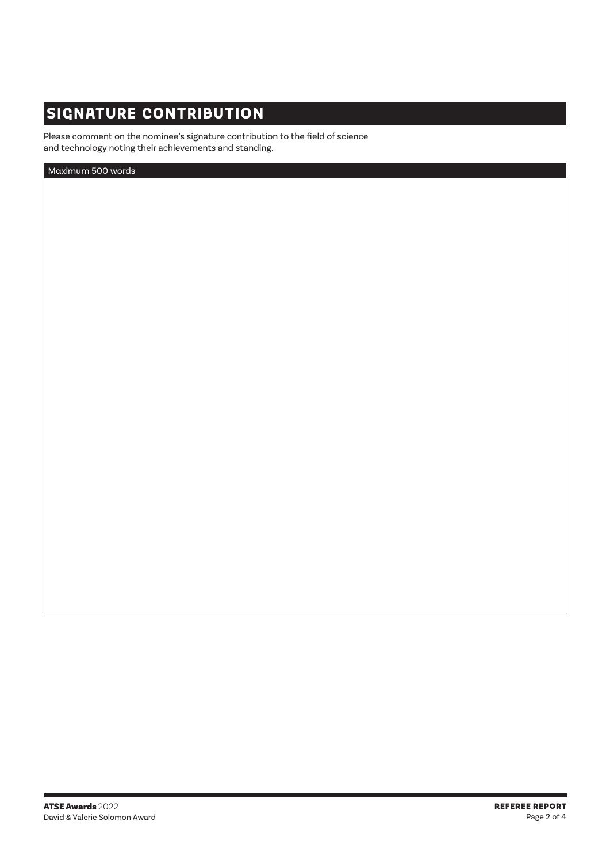### **SIGNATURE CONTRIBUTION**

Please comment on the nominee's signature contribution to the field of science and technology noting their achievements and standing.

Maximum 500 words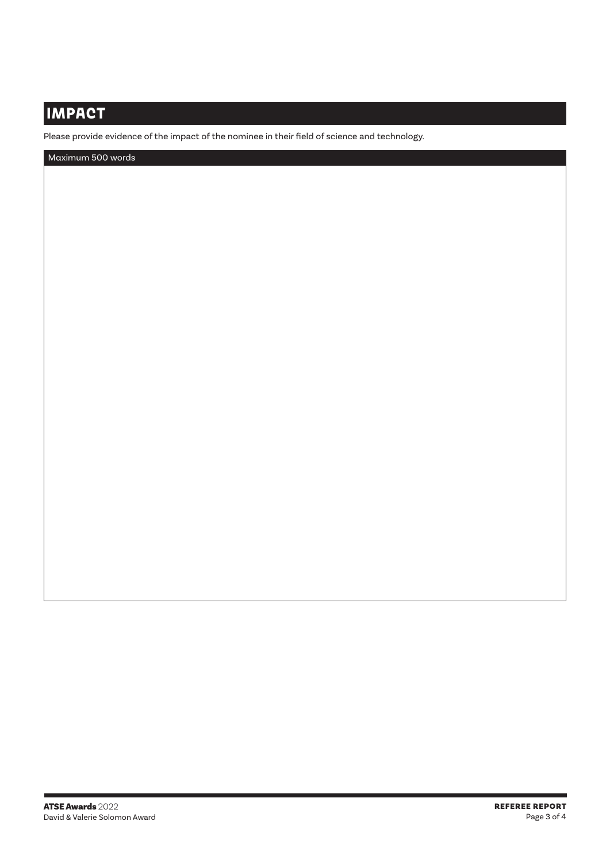## **IMPACT**

Please provide evidence of the impact of the nominee in their field of science and technology.

Maximum 500 words